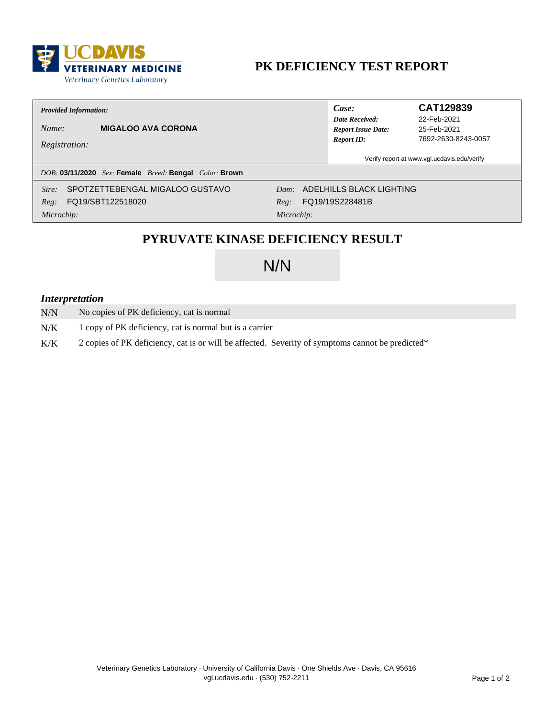

## PK DEFICIENCY TEST REPORT

### **Provided Information:**

**MIGALOO AVA CORONA** Name:

Registration:

Case: **Date Received: Report Issue Date: Report ID:** 

### CAT129839

22-Feb-2021 25-Feb-2021 7692-2630-8243-0057

Verify report at www.vgl.ucdavis.edu/verify

DOB: 03/11/2020 Sex: Female Breed: Bengal Color: Brown

SPOTZETTEBENGAL MIGALOO GUSTAVO Sire:

Reg: FQ19/SBT122518020

Dam: ADELHILLS BLACK LIGHTING FQ19/19S228481B Reg:

Microchip:

Microchip:

## PYRUVATE KINASE DEFICIENCY RESULT

# $N/N$

### **Interpretation**

| N/N | No copies of PK deficiency, cat is normal                                                        |
|-----|--------------------------------------------------------------------------------------------------|
| N/K | 1 copy of PK deficiency, cat is normal but is a carrier                                          |
| K/K | 2 copies of PK deficiency, cat is or will be affected. Severity of symptoms cannot be predicted* |